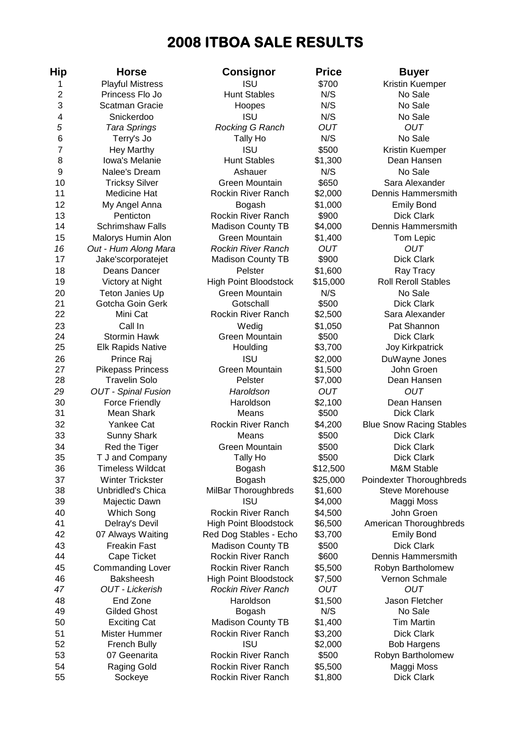# **2008 ITBOA SALE RESULTS**

| Hip                     | <b>Horse</b>               | Consignor                    | <b>Price</b> | <b>Buyer</b>                    |
|-------------------------|----------------------------|------------------------------|--------------|---------------------------------|
| 1                       | <b>Playful Mistress</b>    | <b>ISU</b>                   | \$700        | Kristin Kuemper                 |
| $\overline{2}$          | Princess Flo Jo            | <b>Hunt Stables</b>          | N/S          | No Sale                         |
| 3                       | <b>Scatman Gracie</b>      | Hoopes                       | N/S          | No Sale                         |
| $\overline{\mathbf{4}}$ | Snickerdoo                 | <b>ISU</b>                   | N/S          | No Sale                         |
| 5                       | <b>Tara Springs</b>        | Rocking G Ranch              | <b>OUT</b>   | <b>OUT</b>                      |
| $6\phantom{1}6$         | Terry's Jo                 | Tally Ho                     | N/S          | No Sale                         |
| 7                       | <b>Hey Marthy</b>          | <b>ISU</b>                   | \$500        | Kristin Kuemper                 |
| 8                       | Iowa's Melanie             | <b>Hunt Stables</b>          | \$1,300      | Dean Hansen                     |
| $9$                     | Nalee's Dream              | Ashauer                      | N/S          | No Sale                         |
| 10                      | <b>Tricksy Silver</b>      | Green Mountain               | \$650        | Sara Alexander                  |
| 11                      | Medicine Hat               | Rockin River Ranch           | \$2,000      | Dennis Hammersmith              |
| 12                      | My Angel Anna              | Bogash                       | \$1,000      | <b>Emily Bond</b>               |
| 13                      | Penticton                  | Rockin River Ranch           | \$900        | <b>Dick Clark</b>               |
| 14                      | <b>Schrimshaw Falls</b>    | <b>Madison County TB</b>     | \$4,000      | Dennis Hammersmith              |
| 15                      | Malorys Humin Alon         | Green Mountain               | \$1,400      | Tom Lepic                       |
| 16                      | Out - Hum Along Mara       | <b>Rockin River Ranch</b>    | <b>OUT</b>   | <b>OUT</b>                      |
| 17                      | Jake'scorporatejet         | <b>Madison County TB</b>     | \$900        | <b>Dick Clark</b>               |
| 18                      | Deans Dancer               | Pelster                      | \$1,600      | Ray Tracy                       |
| 19                      | Victory at Night           | <b>High Point Bloodstock</b> | \$15,000     | <b>Roll Reroll Stables</b>      |
| 20                      | Teton Janies Up            | Green Mountain               | N/S          | No Sale                         |
| 21                      | Gotcha Goin Gerk           | Gotschall                    | \$500        | <b>Dick Clark</b>               |
| 22                      | Mini Cat                   | Rockin River Ranch           | \$2,500      | Sara Alexander                  |
| 23                      | Call In                    | Wedig                        | \$1,050      | Pat Shannon                     |
| 24                      | <b>Stormin Hawk</b>        | <b>Green Mountain</b>        | \$500        | <b>Dick Clark</b>               |
| 25                      | <b>Elk Rapids Native</b>   | Houlding                     | \$3,700      | <b>Joy Kirkpatrick</b>          |
| 26                      | Prince Raj                 | <b>ISU</b>                   | \$2,000      | DuWayne Jones                   |
| 27                      | <b>Pikepass Princess</b>   | <b>Green Mountain</b>        | \$1,500      | John Groen                      |
| 28                      | <b>Travelin Solo</b>       | Pelster                      | \$7,000      | Dean Hansen                     |
| 29                      | <b>OUT - Spinal Fusion</b> | Haroldson                    | <b>OUT</b>   | <b>OUT</b>                      |
| 30                      | <b>Force Friendly</b>      | Haroldson                    | \$2,100      | Dean Hansen                     |
| 31                      | Mean Shark                 | Means                        | \$500        | <b>Dick Clark</b>               |
| 32                      | Yankee Cat                 | Rockin River Ranch           | \$4,200      | <b>Blue Snow Racing Stables</b> |
| 33                      | <b>Sunny Shark</b>         | Means                        | \$500        | <b>Dick Clark</b>               |
| 34                      | Red the Tiger              | <b>Green Mountain</b>        | \$500        | <b>Dick Clark</b>               |
| 35                      | T J and Company            | Tally Ho                     | \$500        | <b>Dick Clark</b>               |
| 36                      | <b>Timeless Wildcat</b>    | Bogash                       | \$12,500     | M&M Stable                      |
| 37                      | <b>Winter Trickster</b>    | Bogash                       | \$25,000     | Poindexter Thoroughbreds        |
| 38                      | Unbridled's Chica          | MilBar Thoroughbreds         | \$1,600      | Steve Morehouse                 |
| 39                      | Majectic Dawn              | <b>ISU</b>                   | \$4,000      | Maggi Moss                      |
| 40                      | Which Song                 | Rockin River Ranch           | \$4,500      | John Groen                      |
| 41                      | Delray's Devil             | <b>High Point Bloodstock</b> | \$6,500      | American Thoroughbreds          |
| 42                      | 07 Always Waiting          | Red Dog Stables - Echo       | \$3,700      | <b>Emily Bond</b>               |
| 43                      | <b>Freakin Fast</b>        | <b>Madison County TB</b>     | \$500        | <b>Dick Clark</b>               |
| 44                      | Cape Ticket                | Rockin River Ranch           | \$600        | Dennis Hammersmith              |
| 45                      | <b>Commanding Lover</b>    | <b>Rockin River Ranch</b>    | \$5,500      | Robyn Bartholomew               |
| 46                      | <b>Baksheesh</b>           | <b>High Point Bloodstock</b> | \$7,500      | Vernon Schmale                  |
| 47                      | <b>OUT - Lickerish</b>     | <b>Rockin River Ranch</b>    | OUT          | <b>OUT</b>                      |
| 48                      | End Zone                   | Haroldson                    | \$1,500      | Jason Fletcher                  |
| 49                      | <b>Gilded Ghost</b>        | Bogash                       | N/S          | No Sale                         |
| 50                      | <b>Exciting Cat</b>        | <b>Madison County TB</b>     | \$1,400      | <b>Tim Martin</b>               |
| 51                      | Mister Hummer              | Rockin River Ranch           | \$3,200      | <b>Dick Clark</b>               |
| 52                      | <b>French Bully</b>        | <b>ISU</b>                   | \$2,000      | <b>Bob Hargens</b>              |
| 53                      | 07 Geenarita               | Rockin River Ranch           | \$500        | Robyn Bartholomew               |
| 54                      | Raging Gold                | Rockin River Ranch           | \$5,500      | Maggi Moss                      |
| 55                      | Sockeye                    | Rockin River Ranch           | \$1,800      | <b>Dick Clark</b>               |